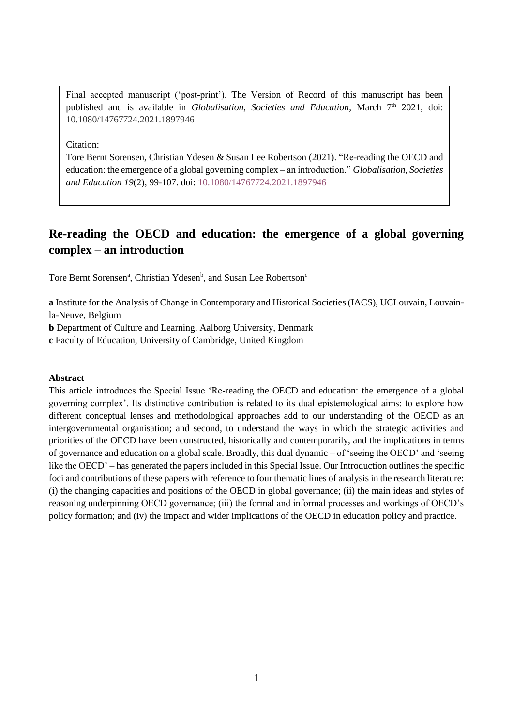Final accepted manuscript ('post-print'). The Version of Record of this manuscript has been published and is available in *Globalisation*, *Societies and Education*, March 7<sup>th</sup> 2021, doi: [10.1080/14767724.2021.1897946](https://doi.org/10.1080/14767724.2021.1897946)

Citation:

Tore Bernt Sorensen, Christian Ydesen & Susan Lee Robertson (2021). "Re-reading the OECD and education: the emergence of a global governing complex – an introduction." *Globalisation, Societies and Education 19*(2), 99-107. doi: [10.1080/14767724.2021.1897946](https://doi.org/10.1080/14767724.2021.1897946)

# **Re-reading the OECD and education: the emergence of a global governing complex – an introduction**

Tore Bernt Sorensen<sup>a</sup>, Christian Ydesen<sup>b</sup>, and Susan Lee Robertson<sup>c</sup>

**a** Institute for the Analysis of Change in Contemporary and Historical Societies (IACS), UCLouvain, Louvainla-Neuve, Belgium

**b** Department of Culture and Learning, Aalborg University, Denmark

**c** Faculty of Education, University of Cambridge, United Kingdom

#### **Abstract**

This article introduces the Special Issue 'Re-reading the OECD and education: the emergence of a global governing complex'. Its distinctive contribution is related to its dual epistemological aims: to explore how different conceptual lenses and methodological approaches add to our understanding of the OECD as an intergovernmental organisation; and second, to understand the ways in which the strategic activities and priorities of the OECD have been constructed, historically and contemporarily, and the implications in terms of governance and education on a global scale. Broadly, this dual dynamic – of 'seeing the OECD' and 'seeing like the OECD' – has generated the papers included in this Special Issue. Our Introduction outlines the specific foci and contributions of these papers with reference to four thematic lines of analysis in the research literature: (i) the changing capacities and positions of the OECD in global governance; (ii) the main ideas and styles of reasoning underpinning OECD governance; (iii) the formal and informal processes and workings of OECD's policy formation; and (iv) the impact and wider implications of the OECD in education policy and practice.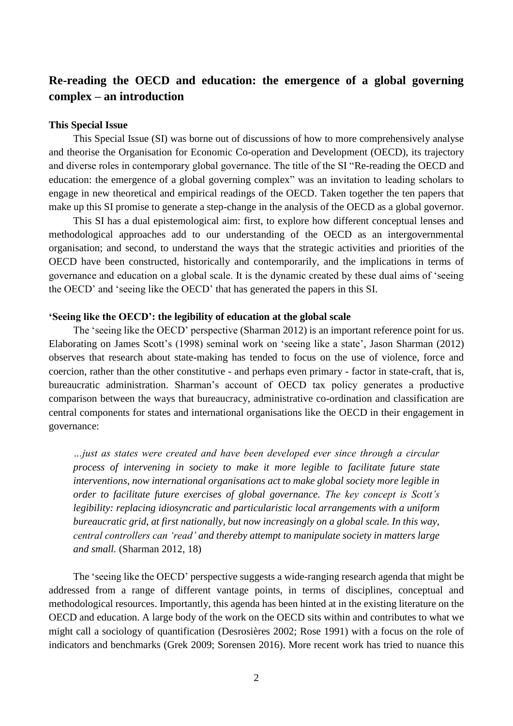# **Re-reading the OECD and education: the emergence of a global governing complex – an introduction**

## **This Special Issue**

This Special Issue (SI) was borne out of discussions of how to more comprehensively analyse and theorise the Organisation for Economic Co-operation and Development (OECD), its trajectory and diverse roles in contemporary global governance. The title of the SI "Re-reading the OECD and education: the emergence of a global governing complex" was an invitation to leading scholars to engage in new theoretical and empirical readings of the OECD. Taken together the ten papers that make up this SI promise to generate a step-change in the analysis of the OECD as a global governor.

This SI has a dual epistemological aim: first, to explore how different conceptual lenses and methodological approaches add to our understanding of the OECD as an intergovernmental organisation; and second, to understand the ways that the strategic activities and priorities of the OECD have been constructed, historically and contemporarily, and the implications in terms of governance and education on a global scale. It is the dynamic created by these dual aims of 'seeing the OECD' and 'seeing like the OECD' that has generated the papers in this SI.

# **'Seeing like the OECD': the legibility of education at the global scale**

The 'seeing like the OECD' perspective (Sharman 2012) is an important reference point for us. Elaborating on James Scott's (1998) seminal work on 'seeing like a state', Jason Sharman (2012) observes that research about state-making has tended to focus on the use of violence, force and coercion, rather than the other constitutive - and perhaps even primary - factor in state-craft, that is, bureaucratic administration. Sharman's account of OECD tax policy generates a productive comparison between the ways that bureaucracy, administrative co-ordination and classification are central components for states and international organisations like the OECD in their engagement in governance:

*…just as states were created and have been developed ever since through a circular process of intervening in society to make it more legible to facilitate future state interventions, now international organisations act to make global society more legible in order to facilitate future exercises of global governance. The key concept is Scott's legibility: replacing idiosyncratic and particularistic local arrangements with a uniform bureaucratic grid, at first nationally, but now increasingly on a global scale. In this way, central controllers can 'read' and thereby attempt to manipulate society in matters large and small.* (Sharman 2012, 18)

The 'seeing like the OECD' perspective suggests a wide-ranging research agenda that might be addressed from a range of different vantage points, in terms of disciplines, conceptual and methodological resources. Importantly, this agenda has been hinted at in the existing literature on the OECD and education. A large body of the work on the OECD sits within and contributes to what we might call a sociology of quantification (Desrosières 2002; Rose 1991) with a focus on the role of indicators and benchmarks (Grek 2009; Sorensen 2016). More recent work has tried to nuance this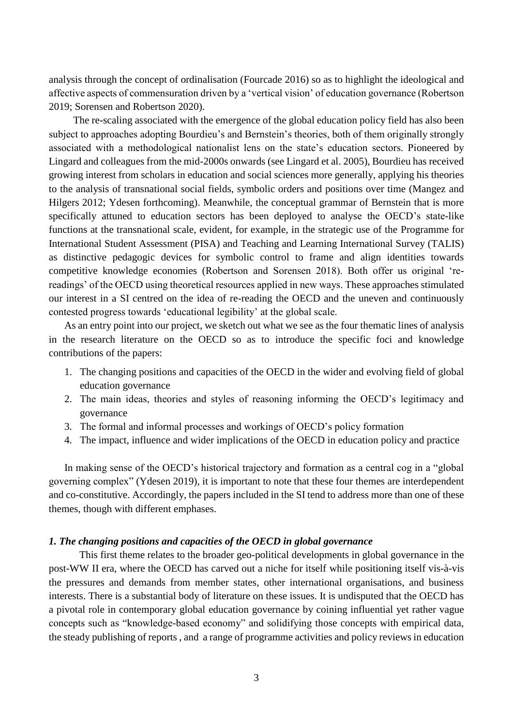analysis through the concept of ordinalisation (Fourcade 2016) so as to highlight the ideological and affective aspects of commensuration driven by a 'vertical vision' of education governance (Robertson 2019; Sorensen and Robertson 2020).

The re-scaling associated with the emergence of the global education policy field has also been subject to approaches adopting Bourdieu's and Bernstein's theories, both of them originally strongly associated with a methodological nationalist lens on the state's education sectors. Pioneered by Lingard and colleagues from the mid-2000s onwards (see Lingard et al. 2005), Bourdieu has received growing interest from scholars in education and social sciences more generally, applying his theories to the analysis of transnational social fields, symbolic orders and positions over time (Mangez and Hilgers 2012; Ydesen forthcoming). Meanwhile, the conceptual grammar of Bernstein that is more specifically attuned to education sectors has been deployed to analyse the OECD's state-like functions at the transnational scale, evident, for example, in the strategic use of the Programme for International Student Assessment (PISA) and Teaching and Learning International Survey (TALIS) as distinctive pedagogic devices for symbolic control to frame and align identities towards competitive knowledge economies (Robertson and Sorensen 2018). Both offer us original 'rereadings' of the OECD using theoretical resources applied in new ways. These approaches stimulated our interest in a SI centred on the idea of re-reading the OECD and the uneven and continuously contested progress towards 'educational legibility' at the global scale.

As an entry point into our project, we sketch out what we see as the four thematic lines of analysis in the research literature on the OECD so as to introduce the specific foci and knowledge contributions of the papers:

- 1. The changing positions and capacities of the OECD in the wider and evolving field of global education governance
- 2. The main ideas, theories and styles of reasoning informing the OECD's legitimacy and governance
- 3. The formal and informal processes and workings of OECD's policy formation
- 4. The impact, influence and wider implications of the OECD in education policy and practice

In making sense of the OECD's historical trajectory and formation as a central cog in a "global governing complex" (Ydesen 2019), it is important to note that these four themes are interdependent and co-constitutive. Accordingly, the papers included in the SI tend to address more than one of these themes, though with different emphases.

### *1. The changing positions and capacities of the OECD in global governance*

This first theme relates to the broader geo-political developments in global governance in the post-WW II era, where the OECD has carved out a niche for itself while positioning itself vis-à-vis the pressures and demands from member states, other international organisations, and business interests. There is a substantial body of literature on these issues. It is undisputed that the OECD has a pivotal role in contemporary global education governance by coining influential yet rather vague concepts such as "knowledge-based economy" and solidifying those concepts with empirical data, the steady publishing of reports , and a range of programme activities and policy reviews in education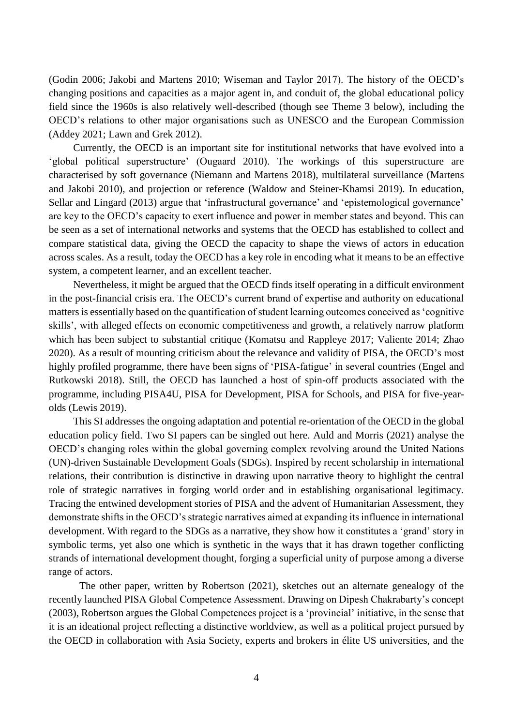(Godin 2006; Jakobi and Martens 2010; Wiseman and Taylor 2017). The history of the OECD's changing positions and capacities as a major agent in, and conduit of, the global educational policy field since the 1960s is also relatively well-described (though see Theme 3 below), including the OECD's relations to other major organisations such as UNESCO and the European Commission (Addey 2021; Lawn and Grek 2012).

Currently, the OECD is an important site for institutional networks that have evolved into a 'global political superstructure' (Ougaard 2010). The workings of this superstructure are characterised by soft governance (Niemann and Martens 2018), multilateral surveillance (Martens and Jakobi 2010), and projection or reference (Waldow and Steiner-Khamsi 2019). In education, Sellar and Lingard (2013) argue that 'infrastructural governance' and 'epistemological governance' are key to the OECD's capacity to exert influence and power in member states and beyond. This can be seen as a set of international networks and systems that the OECD has established to collect and compare statistical data, giving the OECD the capacity to shape the views of actors in education across scales. As a result, today the OECD has a key role in encoding what it means to be an effective system, a competent learner, and an excellent teacher.

Nevertheless, it might be argued that the OECD finds itself operating in a difficult environment in the post-financial crisis era. The OECD's current brand of expertise and authority on educational matters is essentially based on the quantification of student learning outcomes conceived as 'cognitive skills', with alleged effects on economic competitiveness and growth, a relatively narrow platform which has been subject to substantial critique (Komatsu and Rappleye 2017; Valiente 2014; Zhao 2020). As a result of mounting criticism about the relevance and validity of PISA, the OECD's most highly profiled programme, there have been signs of 'PISA-fatigue' in several countries (Engel and Rutkowski 2018). Still, the OECD has launched a host of spin-off products associated with the programme, including PISA4U, PISA for Development, PISA for Schools, and PISA for five-yearolds (Lewis 2019).

This SI addresses the ongoing adaptation and potential re-orientation of the OECD in the global education policy field. Two SI papers can be singled out here. Auld and Morris (2021) analyse the OECD's changing roles within the global governing complex revolving around the United Nations (UN)-driven Sustainable Development Goals (SDGs). Inspired by recent scholarship in international relations, their contribution is distinctive in drawing upon narrative theory to highlight the central role of strategic narratives in forging world order and in establishing organisational legitimacy. Tracing the entwined development stories of PISA and the advent of Humanitarian Assessment, they demonstrate shifts in the OECD's strategic narratives aimed at expanding its influence in international development. With regard to the SDGs as a narrative, they show how it constitutes a 'grand' story in symbolic terms, yet also one which is synthetic in the ways that it has drawn together conflicting strands of international development thought, forging a superficial unity of purpose among a diverse range of actors.

The other paper, written by Robertson (2021), sketches out an alternate genealogy of the recently launched PISA Global Competence Assessment. Drawing on Dipesh Chakrabarty's concept (2003), Robertson argues the Global Competences project is a 'provincial' initiative, in the sense that it is an ideational project reflecting a distinctive worldview, as well as a political project pursued by the OECD in collaboration with Asia Society, experts and brokers in élite US universities, and the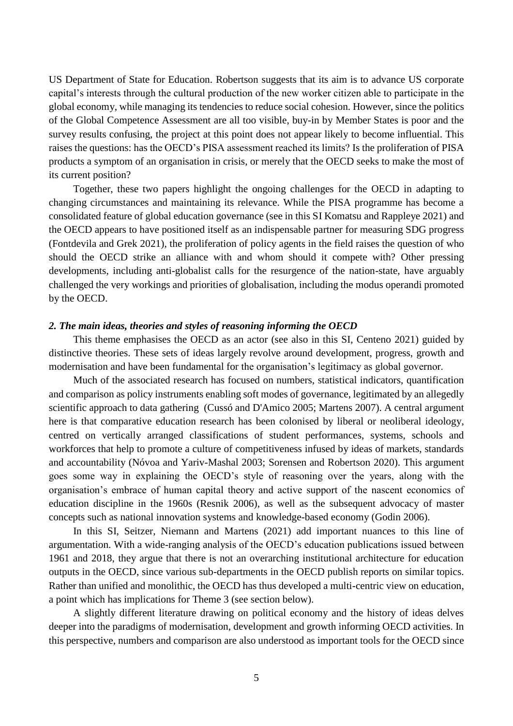US Department of State for Education. Robertson suggests that its aim is to advance US corporate capital's interests through the cultural production of the new worker citizen able to participate in the global economy, while managing its tendencies to reduce social cohesion. However, since the politics of the Global Competence Assessment are all too visible, buy-in by Member States is poor and the survey results confusing, the project at this point does not appear likely to become influential. This raises the questions: has the OECD's PISA assessment reached its limits? Is the proliferation of PISA products a symptom of an organisation in crisis, or merely that the OECD seeks to make the most of its current position?

Together, these two papers highlight the ongoing challenges for the OECD in adapting to changing circumstances and maintaining its relevance. While the PISA programme has become a consolidated feature of global education governance (see in this SI Komatsu and Rappleye 2021) and the OECD appears to have positioned itself as an indispensable partner for measuring SDG progress (Fontdevila and Grek 2021), the proliferation of policy agents in the field raises the question of who should the OECD strike an alliance with and whom should it compete with? Other pressing developments, including anti-globalist calls for the resurgence of the nation-state, have arguably challenged the very workings and priorities of globalisation, including the modus operandi promoted by the OECD.

#### *2. The main ideas, theories and styles of reasoning informing the OECD*

This theme emphasises the OECD as an actor (see also in this SI, Centeno 2021) guided by distinctive theories. These sets of ideas largely revolve around development, progress, growth and modernisation and have been fundamental for the organisation's legitimacy as global governor.

Much of the associated research has focused on numbers, statistical indicators, quantification and comparison as policy instruments enabling soft modes of governance, legitimated by an allegedly scientific approach to data gathering (Cussó and D'Amico 2005; Martens 2007). A central argument here is that comparative education research has been colonised by liberal or neoliberal ideology, centred on vertically arranged classifications of student performances, systems, schools and workforces that help to promote a culture of competitiveness infused by ideas of markets, standards and accountability (Nóvoa and Yariv-Mashal 2003; Sorensen and Robertson 2020). This argument goes some way in explaining the OECD's style of reasoning over the years, along with the organisation's embrace of human capital theory and active support of the nascent economics of education discipline in the 1960s (Resnik 2006), as well as the subsequent advocacy of master concepts such as national innovation systems and knowledge-based economy (Godin 2006).

In this SI, Seitzer, Niemann and Martens (2021) add important nuances to this line of argumentation. With a wide-ranging analysis of the OECD's education publications issued between 1961 and 2018, they argue that there is not an overarching institutional architecture for education outputs in the OECD, since various sub-departments in the OECD publish reports on similar topics. Rather than unified and monolithic, the OECD has thus developed a multi-centric view on education, a point which has implications for Theme 3 (see section below).

A slightly different literature drawing on political economy and the history of ideas delves deeper into the paradigms of modernisation, development and growth informing OECD activities. In this perspective, numbers and comparison are also understood as important tools for the OECD since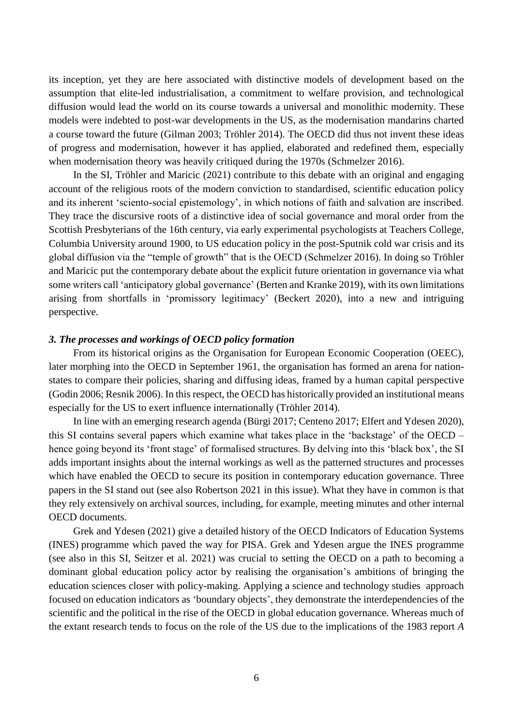its inception, yet they are here associated with distinctive models of development based on the assumption that elite-led industrialisation, a commitment to welfare provision, and technological diffusion would lead the world on its course towards a universal and monolithic modernity. These models were indebted to post-war developments in the US, as the modernisation mandarins charted a course toward the future (Gilman 2003; Tröhler 2014). The OECD did thus not invent these ideas of progress and modernisation, however it has applied, elaborated and redefined them, especially when modernisation theory was heavily critiqued during the 1970s (Schmelzer 2016).

In the SI, Tröhler and Maricic (2021) contribute to this debate with an original and engaging account of the religious roots of the modern conviction to standardised, scientific education policy and its inherent 'sciento-social epistemology', in which notions of faith and salvation are inscribed. They trace the discursive roots of a distinctive idea of social governance and moral order from the Scottish Presbyterians of the 16th century, via early experimental psychologists at Teachers College, Columbia University around 1900, to US education policy in the post-Sputnik cold war crisis and its global diffusion via the "temple of growth" that is the OECD (Schmelzer 2016). In doing so Tröhler and Maricic put the contemporary debate about the explicit future orientation in governance via what some writers call 'anticipatory global governance' (Berten and Kranke 2019), with its own limitations arising from shortfalls in 'promissory legitimacy' (Beckert 2020), into a new and intriguing perspective.

### *3. The processes and workings of OECD policy formation*

From its historical origins as the Organisation for European Economic Cooperation (OEEC), later morphing into the OECD in September 1961, the organisation has formed an arena for nationstates to compare their policies, sharing and diffusing ideas, framed by a human capital perspective (Godin 2006; Resnik 2006). In this respect, the OECD has historically provided an institutional means especially for the US to exert influence internationally (Tröhler 2014).

In line with an emerging research agenda (Bürgi 2017; Centeno 2017; Elfert and Ydesen 2020), this SI contains several papers which examine what takes place in the 'backstage' of the OECD – hence going beyond its 'front stage' of formalised structures. By delving into this 'black box', the SI adds important insights about the internal workings as well as the patterned structures and processes which have enabled the OECD to secure its position in contemporary education governance. Three papers in the SI stand out (see also Robertson 2021 in this issue). What they have in common is that they rely extensively on archival sources, including, for example, meeting minutes and other internal OECD documents.

Grek and Ydesen (2021) give a detailed history of the OECD Indicators of Education Systems (INES) programme which paved the way for PISA. Grek and Ydesen argue the INES programme (see also in this SI, Seitzer et al. 2021) was crucial to setting the OECD on a path to becoming a dominant global education policy actor by realising the organisation's ambitions of bringing the education sciences closer with policy-making. Applying a science and technology studies approach focused on education indicators as 'boundary objects', they demonstrate the interdependencies of the scientific and the political in the rise of the OECD in global education governance. Whereas much of the extant research tends to focus on the role of the US due to the implications of the 1983 report *A*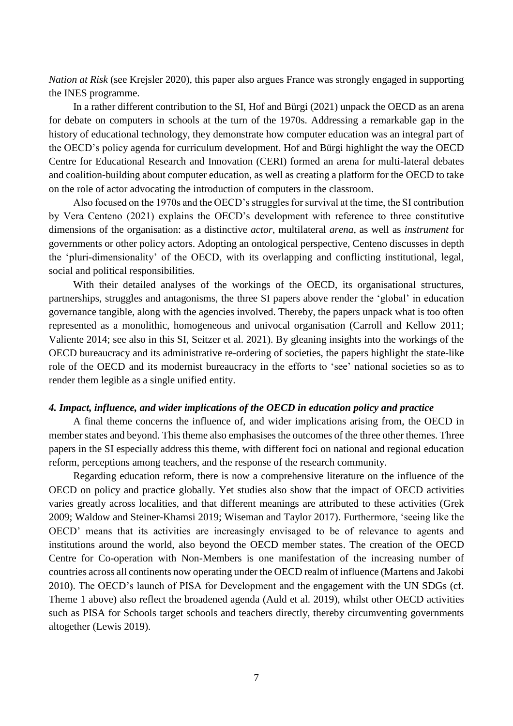*Nation at Risk* (see Krejsler 2020), this paper also argues France was strongly engaged in supporting the INES programme.

In a rather different contribution to the SI, Hof and Bürgi (2021) unpack the OECD as an arena for debate on computers in schools at the turn of the 1970s. Addressing a remarkable gap in the history of educational technology, they demonstrate how computer education was an integral part of the OECD's policy agenda for curriculum development. Hof and Bürgi highlight the way the OECD Centre for Educational Research and Innovation (CERI) formed an arena for multi-lateral debates and coalition-building about computer education, as well as creating a platform for the OECD to take on the role of actor advocating the introduction of computers in the classroom.

Also focused on the 1970s and the OECD's struggles for survival at the time, the SI contribution by Vera Centeno (2021) explains the OECD's development with reference to three constitutive dimensions of the organisation: as a distinctive *actor*, multilateral *arena*, as well as *instrument* for governments or other policy actors. Adopting an ontological perspective, Centeno discusses in depth the 'pluri-dimensionality' of the OECD, with its overlapping and conflicting institutional, legal, social and political responsibilities.

With their detailed analyses of the workings of the OECD, its organisational structures, partnerships, struggles and antagonisms, the three SI papers above render the 'global' in education governance tangible, along with the agencies involved. Thereby, the papers unpack what is too often represented as a monolithic, homogeneous and univocal organisation (Carroll and Kellow 2011; Valiente 2014; see also in this SI, Seitzer et al. 2021). By gleaning insights into the workings of the OECD bureaucracy and its administrative re-ordering of societies, the papers highlight the state-like role of the OECD and its modernist bureaucracy in the efforts to 'see' national societies so as to render them legible as a single unified entity.

#### *4. Impact, influence, and wider implications of the OECD in education policy and practice*

A final theme concerns the influence of, and wider implications arising from, the OECD in member states and beyond. This theme also emphasises the outcomes of the three other themes. Three papers in the SI especially address this theme, with different foci on national and regional education reform, perceptions among teachers, and the response of the research community.

Regarding education reform, there is now a comprehensive literature on the influence of the OECD on policy and practice globally. Yet studies also show that the impact of OECD activities varies greatly across localities, and that different meanings are attributed to these activities (Grek 2009; Waldow and Steiner-Khamsi 2019; Wiseman and Taylor 2017). Furthermore, 'seeing like the OECD' means that its activities are increasingly envisaged to be of relevance to agents and institutions around the world, also beyond the OECD member states. The creation of the OECD Centre for Co-operation with Non-Members is one manifestation of the increasing number of countries across all continents now operating under the OECD realm of influence (Martens and Jakobi 2010). The OECD's launch of PISA for Development and the engagement with the UN SDGs (cf. Theme 1 above) also reflect the broadened agenda (Auld et al. 2019), whilst other OECD activities such as PISA for Schools target schools and teachers directly, thereby circumventing governments altogether (Lewis 2019).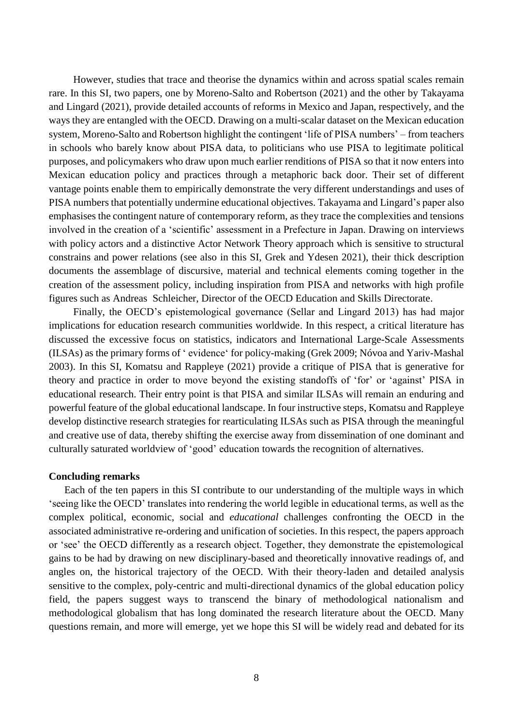However, studies that trace and theorise the dynamics within and across spatial scales remain rare. In this SI, two papers, one by Moreno-Salto and Robertson (2021) and the other by Takayama and Lingard (2021), provide detailed accounts of reforms in Mexico and Japan, respectively, and the ways they are entangled with the OECD. Drawing on a multi-scalar dataset on the Mexican education system, Moreno-Salto and Robertson highlight the contingent 'life of PISA numbers' – from teachers in schools who barely know about PISA data, to politicians who use PISA to legitimate political purposes, and policymakers who draw upon much earlier renditions of PISA so that it now enters into Mexican education policy and practices through a metaphoric back door. Their set of different vantage points enable them to empirically demonstrate the very different understandings and uses of PISA numbers that potentially undermine educational objectives. Takayama and Lingard's paper also emphasises the contingent nature of contemporary reform, as they trace the complexities and tensions involved in the creation of a 'scientific' assessment in a Prefecture in Japan. Drawing on interviews with policy actors and a distinctive Actor Network Theory approach which is sensitive to structural constrains and power relations (see also in this SI, Grek and Ydesen 2021), their thick description documents the assemblage of discursive, material and technical elements coming together in the creation of the assessment policy, including inspiration from PISA and networks with high profile figures such as Andreas Schleicher, Director of the OECD Education and Skills Directorate.

Finally, the OECD's epistemological governance (Sellar and Lingard 2013) has had major implications for education research communities worldwide. In this respect, a critical literature has discussed the excessive focus on statistics, indicators and International Large-Scale Assessments (ILSAs) as the primary forms of ' evidence' for policy-making (Grek 2009; Nóvoa and Yariv-Mashal 2003). In this SI, Komatsu and Rappleye (2021) provide a critique of PISA that is generative for theory and practice in order to move beyond the existing standoffs of 'for' or 'against' PISA in educational research. Their entry point is that PISA and similar ILSAs will remain an enduring and powerful feature of the global educational landscape. In four instructive steps, Komatsu and Rappleye develop distinctive research strategies for rearticulating ILSAs such as PISA through the meaningful and creative use of data, thereby shifting the exercise away from dissemination of one dominant and culturally saturated worldview of 'good' education towards the recognition of alternatives.

#### **Concluding remarks**

Each of the ten papers in this SI contribute to our understanding of the multiple ways in which 'seeing like the OECD' translates into rendering the world legible in educational terms, as well as the complex political, economic, social and *educational* challenges confronting the OECD in the associated administrative re-ordering and unification of societies. In this respect, the papers approach or 'see' the OECD differently as a research object. Together, they demonstrate the epistemological gains to be had by drawing on new disciplinary-based and theoretically innovative readings of, and angles on, the historical trajectory of the OECD. With their theory-laden and detailed analysis sensitive to the complex, poly-centric and multi-directional dynamics of the global education policy field, the papers suggest ways to transcend the binary of methodological nationalism and methodological globalism that has long dominated the research literature about the OECD. Many questions remain, and more will emerge, yet we hope this SI will be widely read and debated for its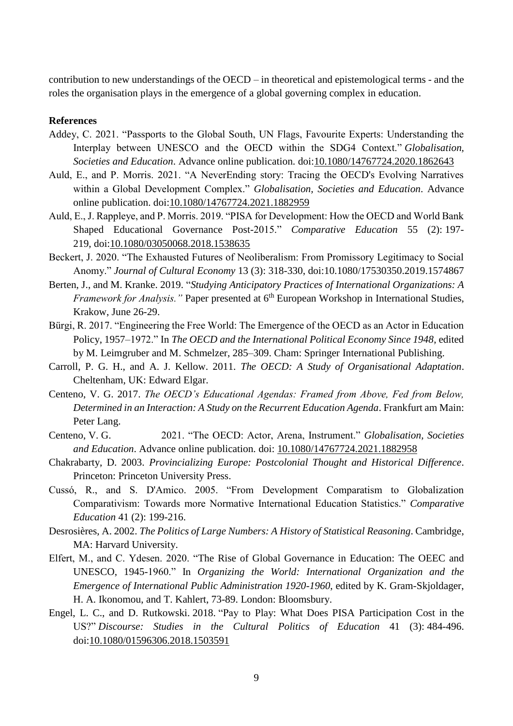contribution to new understandings of the OECD – in theoretical and epistemological terms - and the roles the organisation plays in the emergence of a global governing complex in education.

# **References**

- Addey, C. 2021. "Passports to the Global South, UN Flags, Favourite Experts: Understanding the Interplay between UNESCO and the OECD within the SDG4 Context." *Globalisation, Societies and Education*. Advance online publication. doi[:10.1080/14767724.2020.1862643](https://doi.org/10.1080/14767724.2020.1862643)
- Auld, E., and P. Morris. 2021. "A NeverEnding story: Tracing the OECD's Evolving Narratives within a Global Development Complex." *Globalisation, Societies and Education*. Advance online publication. doi[:10.1080/14767724.2021.1882959](https://doi.org/10.1080/14767724.2021.1882959)
- Auld, E., J. Rappleye, and P. Morris. 2019. "PISA for Development: How the OECD and World Bank Shaped Educational Governance Post-2015." *Comparative Education* 55 (2): 197- 219, doi[:10.1080/03050068.2018.1538635](https://doi.org/10.1080/03050068.2018.1538635)
- Beckert, J. 2020. "The Exhausted Futures of Neoliberalism: From Promissory Legitimacy to Social Anomy." *Journal of Cultural Economy* 13 (3): 318-330, doi:10.1080/17530350.2019.1574867
- Berten, J., and M. Kranke. 2019. "*Studying Anticipatory Practices of International Organizations: A Framework for Analysis.*" Paper presented at 6<sup>th</sup> European Workshop in International Studies, Krakow, June 26-29.
- Bürgi, R. 2017. "Engineering the Free World: The Emergence of the OECD as an Actor in Education Policy, 1957–1972." In *The OECD and the International Political Economy Since 1948*, edited by M. Leimgruber and M. Schmelzer, 285–309. Cham: Springer International Publishing.
- Carroll, P. G. H., and A. J. Kellow. 2011. *The OECD: A Study of Organisational Adaptation*. Cheltenham, UK: Edward Elgar.
- Centeno, V. G. 2017. *The OECD's Educational Agendas: Framed from Above, Fed from Below, Determined in an Interaction: A Study on the Recurrent Education Agenda*. Frankfurt am Main: Peter Lang.
- Centeno, V. G. 2021. "The OECD: Actor, Arena, Instrument." *Globalisation, Societies and Education*. Advance online publication. doi: [10.1080/14767724.2021.1882958](https://doi.org/10.1080/14767724.2021.1882958)
- Chakrabarty, D. 2003. *Provincializing Europe: Postcolonial Thought and Historical Difference*. Princeton: Princeton University Press.
- Cussó, R., and S. D'Amico. 2005. "From Development Comparatism to Globalization Comparativism: Towards more Normative International Education Statistics." *Comparative Education* 41 (2): 199-216.
- Desrosières, A. 2002. *The Politics of Large Numbers: A History of Statistical Reasoning*. Cambridge, MA: Harvard University.
- Elfert, M., and C. Ydesen. 2020. "The Rise of Global Governance in Education: The OEEC and UNESCO, 1945-1960." In *Organizing the World: International Organization and the Emergence of International Public Administration 1920-1960*, edited by K. Gram-Skjoldager, H. A. Ikonomou, and T. Kahlert, 73-89. London: Bloomsbury.
- Engel, L. C., and D. Rutkowski. 2018. "Pay to Play: What Does PISA Participation Cost in the US?" *Discourse: Studies in the Cultural Politics of Education* 41 (3): 484-496. doi[:10.1080/01596306.2018.1503591](https://doi.org/10.1080/01596306.2018.1503591)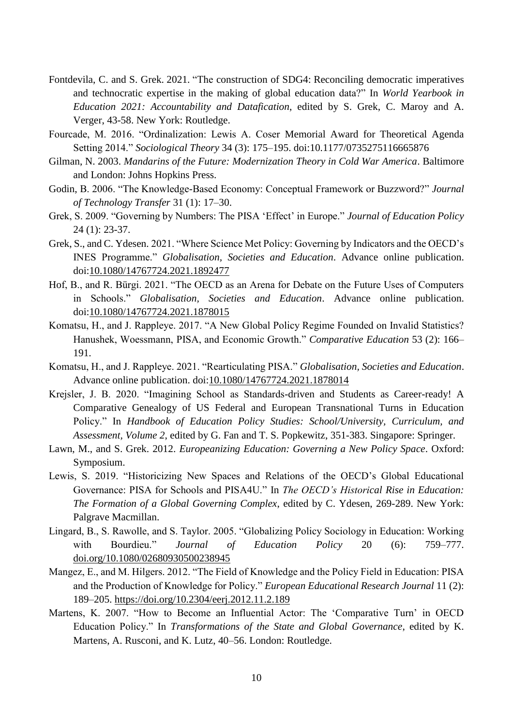- Fontdevila, C. and S. Grek. 2021. "The construction of SDG4: Reconciling democratic imperatives and technocratic expertise in the making of global education data?" In *World Yearbook in Education 2021: Accountability and Datafication*, edited by S. Grek, C. Maroy and A. Verger, 43-58. New York: Routledge.
- Fourcade, M. 2016. "Ordinalization: Lewis A. Coser Memorial Award for Theoretical Agenda Setting 2014." *Sociological Theory* 34 (3): 175–195. doi:10.1177/0735275116665876
- Gilman, N. 2003. *Mandarins of the Future: Modernization Theory in Cold War America*. Baltimore and London: Johns Hopkins Press.
- Godin, B. 2006. "The Knowledge-Based Economy: Conceptual Framework or Buzzword?" *Journal of Technology Transfer* 31 (1): 17–30.
- Grek, S. 2009. "Governing by Numbers: The PISA 'Effect' in Europe." *Journal of Education Policy* 24 (1): 23-37.
- Grek, S., and C. Ydesen. 2021. "Where Science Met Policy: Governing by Indicators and the OECD's INES Programme." *Globalisation, Societies and Education*. Advance online publication. doi[:10.1080/14767724.2021.1892477](https://doi.org/10.1080/14767724.2021.1892477)
- Hof, B., and R. Bürgi. 2021. "The OECD as an Arena for Debate on the Future Uses of Computers in Schools." *Globalisation, Societies and Education*. Advance online publication. doi[:10.1080/14767724.2021.1878015](https://doi.org/10.1080/14767724.2021.1878015)
- Komatsu, H., and J. Rappleye. 2017. "A New Global Policy Regime Founded on Invalid Statistics? Hanushek, Woessmann, PISA, and Economic Growth." *Comparative Education* 53 (2): 166– 191.
- Komatsu, H., and J. Rappleye. 2021. "Rearticulating PISA." *Globalisation, Societies and Education*. Advance online publication. doi[:10.1080/14767724.2021.1878014](https://doi.org/10.1080/14767724.2021.1878014)
- Krejsler, J. B. 2020. "Imagining School as Standards-driven and Students as Career-ready! A Comparative Genealogy of US Federal and European Transnational Turns in Education Policy." In *Handbook of Education Policy Studies: School/University, Curriculum, and Assessment, Volume 2*, edited by G. Fan and T. S. Popkewitz, 351-383. Singapore: Springer.
- Lawn, M., and S. Grek. 2012. *Europeanizing Education: Governing a New Policy Space*. Oxford: Symposium.
- Lewis, S. 2019. "Historicizing New Spaces and Relations of the OECD's Global Educational Governance: PISA for Schools and PISA4U." In *The OECD's Historical Rise in Education: The Formation of a Global Governing Complex*, edited by C. Ydesen, 269-289. New York: Palgrave Macmillan.
- Lingard, B., S. Rawolle, and S. Taylor. 2005. "Globalizing Policy Sociology in Education: Working with Bourdieu." *Journal of Education Policy* 20 (6): 759–777. [doi.org/10.1080/02680930500238945](https://doi.org/10.1080/02680930500238945)
- Mangez, E., and M. Hilgers. 2012. "The Field of Knowledge and the Policy Field in Education: PISA and the Production of Knowledge for Policy." *European Educational Research Journal* 11 (2): 189–205.<https://doi.org/10.2304/eerj.2012.11.2.189>
- Martens, K. 2007. "How to Become an Influential Actor: The 'Comparative Turn' in OECD Education Policy." In *Transformations of the State and Global Governance*, edited by K. Martens, A. Rusconi, and K. Lutz, 40–56. London: Routledge.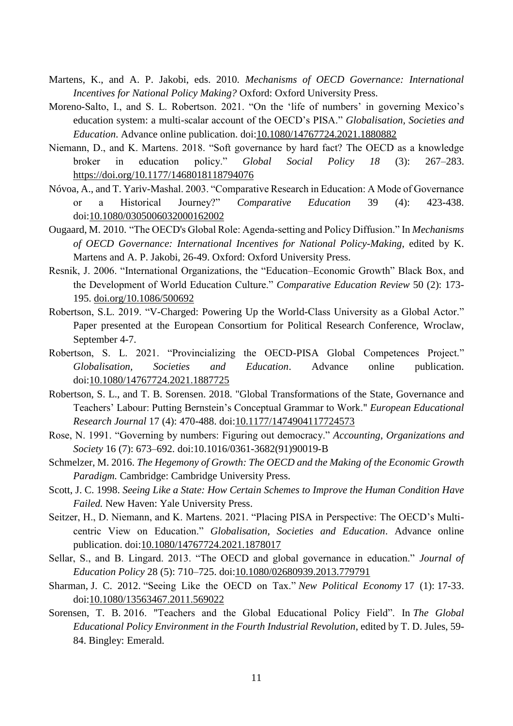- Martens, K., and A. P. Jakobi, eds. 2010. *Mechanisms of OECD Governance: International Incentives for National Policy Making?* Oxford: Oxford University Press.
- Moreno-Salto, I., and S. L. Robertson. 2021. "On the 'life of numbers' in governing Mexico's education system: a multi-scalar account of the OECD's PISA." *Globalisation, Societies and Education*. Advance online publication. doi[:10.1080/14767724.2021.1880882](https://doi.org/10.1080/14767724.2021.1880882)
- Niemann, D., and K. Martens. 2018. "Soft governance by hard fact? The OECD as a knowledge broker in education policy." *Global Social Policy 18* (3): 267–283. <https://doi.org/10.1177/1468018118794076>
- Nóvoa, A., and T. Yariv-Mashal. 2003. "Comparative Research in Education: A Mode of Governance or a Historical Journey?" *Comparative Education* 39 (4): 423-438. doi[:10.1080/0305006032000162002](https://doi.org/10.1080/0305006032000162002)
- Ougaard, M. 2010. "The OECD's Global Role: Agenda-setting and Policy Diffusion." In *Mechanisms of OECD Governance: International Incentives for National Policy-Making*, edited by K. Martens and A. P. Jakobi, 26-49. Oxford: Oxford University Press.
- Resnik, J. 2006. "International Organizations, the "Education–Economic Growth" Black Box, and the Development of World Education Culture." *Comparative Education Review* 50 (2): 173- 195. [doi.org/10.1086/500692](https://doi.org/10.1086/500692)
- Robertson, S.L. 2019. "V-Charged: Powering Up the World-Class University as a Global Actor." Paper presented at the European Consortium for Political Research Conference, Wroclaw, September 4-7.
- Robertson, S. L. 2021. "Provincializing the OECD-PISA Global Competences Project." *Globalisation, Societies and Education*. Advance online publication. doi[:10.1080/14767724.2021.1887725](https://doi.org/10.1080/14767724.2021.1887725)
- Robertson, S. L., and T. B. Sorensen. 2018. "Global Transformations of the State, Governance and Teachers' Labour: Putting Bernstein's Conceptual Grammar to Work." *European Educational Research Journal* 17 (4): 470-488. doi[:10.1177/1474904117724573](https://doi.org/10.1177/1474904117724573)
- Rose, N. 1991. "Governing by numbers: Figuring out democracy." *Accounting, Organizations and Society* 16 (7): 673–692. doi:10.1016/0361-3682(91)90019-B
- Schmelzer, M. 2016. *The Hegemony of Growth: The OECD and the Making of the Economic Growth Paradigm.* Cambridge: Cambridge University Press.
- Scott, J. C. 1998. *Seeing Like a State: How Certain Schemes to Improve the Human Condition Have Failed.* New Haven: Yale University Press.
- Seitzer, H., D. Niemann, and K. Martens. 2021. "Placing PISA in Perspective: The OECD's Multicentric View on Education." *Globalisation, Societies and Education*. Advance online publication. doi[:10.1080/14767724.2021.1878017](https://doi.org/10.1080/14767724.2021.1878017)
- Sellar, S., and B. Lingard. 2013. "The OECD and global governance in education." *Journal of Education Policy* 28 (5): 710–725. doi[:10.1080/02680939.2013.779791](https://doi.org/10.1080/02680939.2013.779791)
- Sharman, J. C. 2012. "Seeing Like the OECD on Tax." *New Political Economy* 17 (1): 17-33. doi[:10.1080/13563467.2011.569022](https://doi.org/10.1080/13563467.2011.569022)
- [Sorensen, T. B.](https://www.emerald.com/insight/search?q=Tore%20Bernt%20Sorensen) 2016. "Teachers and the Global Educational Policy Field". In *The Global Educational Policy Environment in the Fourth Industrial Revolution*, edited by T. D. Jules, 59- 84. Bingley: Emerald.